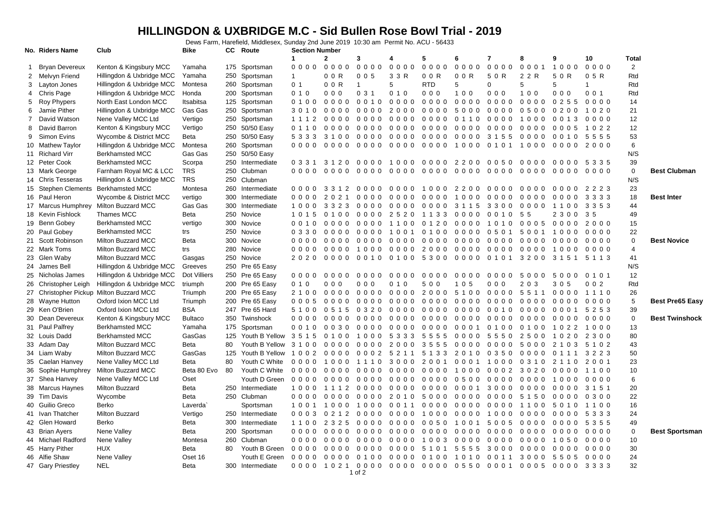## **HILLINGDON & UXBRIDGE M.C - Sid Bullen Rose Bowl Trial - 2019**

Dews Farm, Harefield, Middlesex, Sunday 2nd June 2019 10:30 am Permit No. ACU - 56433

| $\mathbf{2}$<br>5<br>7<br>9<br>10<br>Total<br>1<br>3<br>6<br>4<br>8<br>$0000$<br>0000<br>$\overline{2}$<br><b>Bryan Devereux</b><br>Kenton & Kingsbury MCC<br>Yamaha<br>175 Sportsman<br>0000<br>0000<br>0000<br>0000<br>00000001<br>1000<br>$0000$<br>-1<br>Hillingdon & Uxbridge MCC<br>Rtd<br>Melvyn Friend<br>Yamaha<br>250 Sportsman<br>$\mathbf{1}$<br>0 0 R<br>3 3 R<br>0 0 R<br>0 0 R<br>5 0 R<br>2 2 R<br>5 0 R<br>0 5 R<br>2<br>005<br>Hillingdon & Uxbridge MCC<br>0 <sub>1</sub><br>0 0 R<br><b>RTD</b><br>5<br>5<br>5<br>Rtd<br>3 Layton Jones<br>Montesa<br>260 Sportsman<br>5<br>$\Omega$<br>$\mathbf{1}$<br>$\mathbf{1}$<br>Rtd<br>4 Chris Page<br>Hillingdon & Uxbridge MCC<br>200 Sportsman<br>010<br>001<br>Honda<br>000<br>0 3 1<br>010<br>000<br>100<br>000<br>100<br>000<br>5 Roy Phypers<br>000000000<br>14<br>North East London MCC<br>Itsabitsa<br>125 Sportsman<br>0 1 0 0<br>0000<br>0010<br>0000<br>0000 0000<br>0 2 5 5<br>0000<br>21<br>Jamie Pither<br>Hillingdon & Uxbridge MCC<br>Gas Gas<br>250 Sportsman<br>0000<br>2000<br>0000 5000<br>00000500<br>3 0 1 0<br>0000<br>0200<br>1020<br>6<br>12<br>David Watson<br>Nene Valley MCC Ltd<br>Vertigo<br>250 Sportsman<br>1 1 1 2<br>0000<br>0000<br>0000<br>0000 0110 0000 1000<br>$0000$<br>0 0 1 3<br>7<br>Kenton & Kingsbury MCC<br>250 50/50 Easy<br>12<br>David Barron<br>Vertigo<br>0 1 1 0<br>$0000$<br>$0000$<br>0000<br>000000000<br>000000000<br>0005<br>1 0 2 2<br>8<br>53<br>9<br>Simon Evins<br>Wycombe & District MCC<br>250 50/50 Easy<br>5 3 3 3<br>3 1 0 0<br>0000<br>0000<br>0000<br>00003155<br>0000<br>Beta<br>0010<br>5555<br>6<br>260 Sportsman<br>10 Mathew Taylor<br>Hillingdon & Uxbridge MCC<br>Montesa<br>0000<br>0000<br>0000<br>0000<br>0000<br>1000 0101<br>1000<br>0000<br>2000<br>N/S<br>11 Richard Virr<br><b>Berkhamsted MCC</b><br>Gas Gas<br>250 50/50 Easy<br>250 Intermediate<br>39<br>12 Peter Cook<br><b>Berkhamsted MCC</b><br>Scorpa<br>2200<br>00500000<br>0 3 3 1<br>3120<br>0000<br>1000<br>0000<br>0000 5335<br>$\mathbf 0$<br><b>TRS</b><br>250 Clubman<br><b>Best Clubman</b><br>13 Mark George<br>Farnham Royal MC & LCC<br>0000<br>0000<br>0000<br>0000<br>0000<br>0000<br>0000<br>0000<br>0000<br>0000<br>TRS<br>250 Clubman<br>N/S<br>14 Chris Tesseras<br>Hillingdon & Uxbridge MCC<br>23<br>15 Stephen Clements Berkhamsted MCC<br>260 Intermediate<br>Montesa<br>$0000$<br>3 3 1 2<br>0000<br>0000<br>1000<br>2200<br>00000000<br>$0000$<br>2223<br>18<br>16 Paul Heron<br>Wycombe & District MCC<br>vertigo<br>300 Intermediate<br>0000<br>$0000$<br>2021<br>$0000$<br>0000<br>1000<br>00000000<br>3333<br><b>Best Inter</b><br>0000<br>17 Marcus Humphrey<br><b>Milton Buzzard MCC</b><br>Gas Gas<br>300<br>44<br>Intermediate<br>3 3 2 3<br>$0000$<br>3 1 1 5<br>1000<br>0000<br>0000<br>3300<br>0000<br>1100<br>3 3 5 3<br>18 Kevin Fishlock<br>Thames MCC<br>250 Novice<br>49<br>Beta<br>1 0 1 5<br>0100<br>00002520<br>1133 0000 0010 55<br>2 3 0 0<br>35<br>19 Benn Gobey<br>300 Novice<br><b>Berkhamsted MCC</b><br>vertigo<br>0000<br>0120<br>0005<br>0000<br>2000<br>15<br>0 0 1 0<br>0000<br>1100<br>0000<br>1010<br>20 Paul Gobey<br><b>Berkhamsted MCC</b><br>250 Novice<br>0100 0000 0501 5001 1000<br>22<br>trs<br>0 3 3 0<br>0000<br>0000<br>1001<br>0000<br>Milton Buzzard MCC<br>21 Scott Robinson<br>Beta<br>300 Novice<br>$\mathbf 0$<br><b>Best Novice</b><br>0000<br>0000<br>0000<br>0000<br>0000<br>0000 0000 0000<br>0000<br>$0000$<br>22 Mark Toms<br><b>Milton Buzzard MCC</b><br>280 Novice<br>2000<br>$\overline{4}$<br>trs<br>0000<br>$0000$<br>1000<br>0000<br>0000 0000 0000<br>0000<br>1000<br>41<br>23 Glen Waby<br><b>Milton Buzzard MCC</b><br>250 Novice<br>0 0 1 0<br>5300<br>0000 0101 3200<br>2020<br>0000<br>0100<br>3 1 5 1 5 1 1 3<br>Gasgas<br>250 Pre 65 Easy<br>N/S<br>24 James Bell<br>Hillingdon & Uxbridge MCC<br>Greeves<br>12<br>Dot Villiers<br>250 Pre 65 Easy<br>25 Nicholas James<br>Hillingdon & Uxbridge MCC<br>0000<br>0000<br>0000<br>0000<br>0000<br>0000<br>0000<br>5000<br>5000<br>0 1 0 1<br>26 Christopher Leigh<br>Hillingdon & Uxbridge MCC<br>triumph<br>200 Pre 65 Easy<br>010<br>002<br>Rtd<br>000<br>000<br>010<br>500<br>1 0 5<br>000<br>2 0<br>3 0 5<br>-3<br>27 Christopher Pickup Milton Buzzard MCC<br>Triumph<br>200 Pre 65 Easy<br>0000<br>0000<br>0000<br>2000 5100 0000 5511<br>26<br>2 1 0 0<br>0000<br>1110<br>5<br>28 Wayne Hutton<br>Oxford Ixion MCC Ltd<br>200 Pre 65 Easy<br>0000<br><b>Best Pre65 Easy</b><br>Triumph<br>0005<br>$0000$<br>$0000$<br>0000<br>0000<br>0000<br>0000<br>0000<br>0000<br>29 Ken O'Brien<br>Oxford Ixion MCC Ltd<br><b>BSA</b><br>247 Pre 65 Hard<br>39<br>0 3 2 0<br>0000<br>0000<br>0000<br>00100000<br>5253<br>5 1 0 0<br>0 5 1 5<br>0001<br>$\mathbf 0$<br>30 Dean Devereux<br>Kenton & Kingsbury MCC<br>350 Twinshock<br><b>Bultaco</b><br><b>Best Twinshock</b><br>0000<br>0000<br>0000<br>0000<br>0000<br>0000<br>0000<br>0000<br>0000<br>0000<br>31 Paul Palfrey<br>13<br><b>Berkhamsted MCC</b><br>Yamaha<br>175 Sportsman<br>0 0 1 0<br>0030<br>00000000<br>0000 0001 0100 0100<br>10221000<br>32 Louis Dadd<br><b>Berkhamsted MCC</b><br>GasGas<br>80<br>125 Youth B Yellow 3 5 1 5<br>1000<br>5 3 3 3<br>5555<br>0000 5550 2500<br>1020<br>0100<br>2300<br>43<br>33 Adam Day<br><b>Milton Buzzard MCC</b><br>Beta<br>Youth B Yellow<br>3 1 0 0<br>0000 2000 3555 0000 0000 5000<br>80<br>0000<br>21035102<br>34 Liam Waby<br>Milton Buzzard MCC<br>GasGas<br>125 Youth B Yellow<br>50<br>1002 0000<br>0002 5211<br>5 1 3 3<br>2010 0350 0000<br>0 1 1 1 3 2 2 3<br>Nene Valley MCC Ltd<br>Beta<br>80<br>Youth C White<br>2 0 0 1<br>23<br>35 Caelan Hanvey<br>0000<br>1000<br>1110<br>3000<br>0001 1000 0310<br>2 1 1 0<br>2001<br>Beta 80 Evo<br>10<br>36 Sophie Humphrey<br>Milton Buzzard MCC<br>80<br>Youth C White<br>0000<br>0000 1000<br>00023020<br>0000<br>0000<br>0000<br>0000<br>1100<br>6<br>Nene Valley MCC Ltd<br>Youth D Green<br>37 Shea Hanvey<br>Oset<br>0000<br>0000<br>0000<br>0000<br>0000<br>0500<br>0000<br>0000<br>1000<br>0000<br>20<br><b>Milton Buzzard</b><br>Beta<br>250 Intermediate<br>38 Marcus Haynes<br>1000<br>1 1 1 2<br>0000<br>0000<br>0000<br>000130000000<br>0000<br>3 1 5 1<br>22<br>39 Tim Davis<br>250 Clubman<br>Wycombe<br>Beta<br>0000<br>0000<br>0000<br>2 0 1 0<br>5000<br>0000<br>0000<br>5150<br>0300<br>0000<br>16<br>40 Guilio Greco<br>Berko<br>Laverda`<br>Sportsman<br>1000<br>0 0 1 1<br>0000 0000 0000 1100<br>1001 1000<br>5010<br>1100<br>24<br>41 Ivan Thatcher<br>Milton Buzzard<br>250 Intermediate<br>0212<br>$0000$<br>0000<br>1000<br>0000<br>Vertigo<br>$0003$<br>0000<br>1000<br>0000<br>5 3 3 3<br>49<br>42 Glen Howard<br>Berko<br>Beta<br>300 Intermediate<br>2 3 2 5<br>0000<br>0000<br>0050 1001 5005 0000<br>0000<br>5 3 5 5<br>1100<br>$\mathbf 0$<br>Nene Valley<br>200 Sportsman<br>0000<br><b>Best Sportsman</b><br>43 Brian Ayers<br>Beta<br>0000<br>0000<br>0000<br>0000<br>0000<br>0000<br>0000<br>0000<br>0000<br>44 Michael Radford<br>Nene Valley<br>260 Clubman<br>10<br>Montesa<br>0000<br>0000<br>0000<br>0000<br>1003<br>0000<br>0000 0000<br>1050<br>0000<br>45 Harry Pither<br><b>HUX</b><br>Youth B Green<br>30<br>Beta<br>80<br>0000<br>0000<br>5555<br>3000<br>0000<br>0000<br>5 1 0 1<br>0000<br>0000<br>0000<br>24<br>46 Alfie Shaw<br>Nene Valley<br>Oset 16<br>Youth E Green<br>0000 0000 0100 0000<br>0100 1010 0011 3000 5505 0000<br>47 Gary Priestley<br><b>NEL</b><br>300 Intermediate<br>0000 1021 0000 0000 0000 0550 0001 0005 0000 3333<br>32<br>Beta | No. Riders Name | Club | Bike | CC. | Route | <b>Section Number</b> |  |  |  |  |  |  |
|------------------------------------------------------------------------------------------------------------------------------------------------------------------------------------------------------------------------------------------------------------------------------------------------------------------------------------------------------------------------------------------------------------------------------------------------------------------------------------------------------------------------------------------------------------------------------------------------------------------------------------------------------------------------------------------------------------------------------------------------------------------------------------------------------------------------------------------------------------------------------------------------------------------------------------------------------------------------------------------------------------------------------------------------------------------------------------------------------------------------------------------------------------------------------------------------------------------------------------------------------------------------------------------------------------------------------------------------------------------------------------------------------------------------------------------------------------------------------------------------------------------------------------------------------------------------------------------------------------------------------------------------------------------------------------------------------------------------------------------------------------------------------------------------------------------------------------------------------------------------------------------------------------------------------------------------------------------------------------------------------------------------------------------------------------------------------------------------------------------------------------------------------------------------------------------------------------------------------------------------------------------------------------------------------------------------------------------------------------------------------------------------------------------------------------------------------------------------------------------------------------------------------------------------------------------------------------------------------------------------------------------------------------------------------------------------------------------------------------------------------------------------------------------------------------------------------------------------------------------------------------------------------------------------------------------------------------------------------------------------------------------------------------------------------------------------------------------------------------------------------------------------------------------------------------------------------------------------------------------------------------------------------------------------------------------------------------------------------------------------------------------------------------------------------------------------------------------------------------------------------------------------------------------------------------------------------------------------------------------------------------------------------------------------------------------------------------------------------------------------------------------------------------------------------------------------------------------------------------------------------------------------------------------------------------------------------------------------------------------------------------------------------------------------------------------------------------------------------------------------------------------------------------------------------------------------------------------------------------------------------------------------------------------------------------------------------------------------------------------------------------------------------------------------------------------------------------------------------------------------------------------------------------------------------------------------------------------------------------------------------------------------------------------------------------------------------------------------------------------------------------------------------------------------------------------------------------------------------------------------------------------------------------------------------------------------------------------------------------------------------------------------------------------------------------------------------------------------------------------------------------------------------------------------------------------------------------------------------------------------------------------------------------------------------------------------------------------------------------------------------------------------------------------------------------------------------------------------------------------------------------------------------------------------------------------------------------------------------------------------------------------------------------------------------------------------------------------------------------------------------------------------------------------------------------------------------------------------------------------------------------------------------------------------------------------------------------------------------------------------------------------------------------------------------------------------------------------------------------------------------------------------------------------------------------------------------------------------------------------------------------------------------------------------------------------------------------------------------------------------------------------------------------------------------------------------------------------------------------------------------------------------------------------------------------------------------------------------------------------------------------------------------------------------------------------------------------------------------------------------------------------------------------------------------------------------------------------------------------------------------------------------------------------------------------------------------------------------------------------------------------------------------------------------------------------------------------------------------------------------------------------------------------------------------------------------------------------------------------------------------------------------------------------------------------------------------------------------------------------------------------------------------------------------------------------------------------------------------------------------------------------------------------------------------------------------------------------------------------------------------------|-----------------|------|------|-----|-------|-----------------------|--|--|--|--|--|--|
|                                                                                                                                                                                                                                                                                                                                                                                                                                                                                                                                                                                                                                                                                                                                                                                                                                                                                                                                                                                                                                                                                                                                                                                                                                                                                                                                                                                                                                                                                                                                                                                                                                                                                                                                                                                                                                                                                                                                                                                                                                                                                                                                                                                                                                                                                                                                                                                                                                                                                                                                                                                                                                                                                                                                                                                                                                                                                                                                                                                                                                                                                                                                                                                                                                                                                                                                                                                                                                                                                                                                                                                                                                                                                                                                                                                                                                                                                                                                                                                                                                                                                                                                                                                                                                                                                                                                                                                                                                                                                                                                                                                                                                                                                                                                                                                                                                                                                                                                                                                                                                                                                                                                                                                                                                                                                                                                                                                                                                                                                                                                                                                                                                                                                                                                                                                                                                                                                                                                                                                                                                                                                                                                                                                                                                                                                                                                                                                                                                                                                                                                                                                                                                                                                                                                                                                                                                                                                                                                                                                                                                                                                                                                                                                                                                                                                                                                                                                                                                                                                                                                                                                                                                    |                 |      |      |     |       |                       |  |  |  |  |  |  |
|                                                                                                                                                                                                                                                                                                                                                                                                                                                                                                                                                                                                                                                                                                                                                                                                                                                                                                                                                                                                                                                                                                                                                                                                                                                                                                                                                                                                                                                                                                                                                                                                                                                                                                                                                                                                                                                                                                                                                                                                                                                                                                                                                                                                                                                                                                                                                                                                                                                                                                                                                                                                                                                                                                                                                                                                                                                                                                                                                                                                                                                                                                                                                                                                                                                                                                                                                                                                                                                                                                                                                                                                                                                                                                                                                                                                                                                                                                                                                                                                                                                                                                                                                                                                                                                                                                                                                                                                                                                                                                                                                                                                                                                                                                                                                                                                                                                                                                                                                                                                                                                                                                                                                                                                                                                                                                                                                                                                                                                                                                                                                                                                                                                                                                                                                                                                                                                                                                                                                                                                                                                                                                                                                                                                                                                                                                                                                                                                                                                                                                                                                                                                                                                                                                                                                                                                                                                                                                                                                                                                                                                                                                                                                                                                                                                                                                                                                                                                                                                                                                                                                                                                                                    |                 |      |      |     |       |                       |  |  |  |  |  |  |
|                                                                                                                                                                                                                                                                                                                                                                                                                                                                                                                                                                                                                                                                                                                                                                                                                                                                                                                                                                                                                                                                                                                                                                                                                                                                                                                                                                                                                                                                                                                                                                                                                                                                                                                                                                                                                                                                                                                                                                                                                                                                                                                                                                                                                                                                                                                                                                                                                                                                                                                                                                                                                                                                                                                                                                                                                                                                                                                                                                                                                                                                                                                                                                                                                                                                                                                                                                                                                                                                                                                                                                                                                                                                                                                                                                                                                                                                                                                                                                                                                                                                                                                                                                                                                                                                                                                                                                                                                                                                                                                                                                                                                                                                                                                                                                                                                                                                                                                                                                                                                                                                                                                                                                                                                                                                                                                                                                                                                                                                                                                                                                                                                                                                                                                                                                                                                                                                                                                                                                                                                                                                                                                                                                                                                                                                                                                                                                                                                                                                                                                                                                                                                                                                                                                                                                                                                                                                                                                                                                                                                                                                                                                                                                                                                                                                                                                                                                                                                                                                                                                                                                                                                                    |                 |      |      |     |       |                       |  |  |  |  |  |  |
|                                                                                                                                                                                                                                                                                                                                                                                                                                                                                                                                                                                                                                                                                                                                                                                                                                                                                                                                                                                                                                                                                                                                                                                                                                                                                                                                                                                                                                                                                                                                                                                                                                                                                                                                                                                                                                                                                                                                                                                                                                                                                                                                                                                                                                                                                                                                                                                                                                                                                                                                                                                                                                                                                                                                                                                                                                                                                                                                                                                                                                                                                                                                                                                                                                                                                                                                                                                                                                                                                                                                                                                                                                                                                                                                                                                                                                                                                                                                                                                                                                                                                                                                                                                                                                                                                                                                                                                                                                                                                                                                                                                                                                                                                                                                                                                                                                                                                                                                                                                                                                                                                                                                                                                                                                                                                                                                                                                                                                                                                                                                                                                                                                                                                                                                                                                                                                                                                                                                                                                                                                                                                                                                                                                                                                                                                                                                                                                                                                                                                                                                                                                                                                                                                                                                                                                                                                                                                                                                                                                                                                                                                                                                                                                                                                                                                                                                                                                                                                                                                                                                                                                                                                    |                 |      |      |     |       |                       |  |  |  |  |  |  |
|                                                                                                                                                                                                                                                                                                                                                                                                                                                                                                                                                                                                                                                                                                                                                                                                                                                                                                                                                                                                                                                                                                                                                                                                                                                                                                                                                                                                                                                                                                                                                                                                                                                                                                                                                                                                                                                                                                                                                                                                                                                                                                                                                                                                                                                                                                                                                                                                                                                                                                                                                                                                                                                                                                                                                                                                                                                                                                                                                                                                                                                                                                                                                                                                                                                                                                                                                                                                                                                                                                                                                                                                                                                                                                                                                                                                                                                                                                                                                                                                                                                                                                                                                                                                                                                                                                                                                                                                                                                                                                                                                                                                                                                                                                                                                                                                                                                                                                                                                                                                                                                                                                                                                                                                                                                                                                                                                                                                                                                                                                                                                                                                                                                                                                                                                                                                                                                                                                                                                                                                                                                                                                                                                                                                                                                                                                                                                                                                                                                                                                                                                                                                                                                                                                                                                                                                                                                                                                                                                                                                                                                                                                                                                                                                                                                                                                                                                                                                                                                                                                                                                                                                                                    |                 |      |      |     |       |                       |  |  |  |  |  |  |
|                                                                                                                                                                                                                                                                                                                                                                                                                                                                                                                                                                                                                                                                                                                                                                                                                                                                                                                                                                                                                                                                                                                                                                                                                                                                                                                                                                                                                                                                                                                                                                                                                                                                                                                                                                                                                                                                                                                                                                                                                                                                                                                                                                                                                                                                                                                                                                                                                                                                                                                                                                                                                                                                                                                                                                                                                                                                                                                                                                                                                                                                                                                                                                                                                                                                                                                                                                                                                                                                                                                                                                                                                                                                                                                                                                                                                                                                                                                                                                                                                                                                                                                                                                                                                                                                                                                                                                                                                                                                                                                                                                                                                                                                                                                                                                                                                                                                                                                                                                                                                                                                                                                                                                                                                                                                                                                                                                                                                                                                                                                                                                                                                                                                                                                                                                                                                                                                                                                                                                                                                                                                                                                                                                                                                                                                                                                                                                                                                                                                                                                                                                                                                                                                                                                                                                                                                                                                                                                                                                                                                                                                                                                                                                                                                                                                                                                                                                                                                                                                                                                                                                                                                                    |                 |      |      |     |       |                       |  |  |  |  |  |  |
|                                                                                                                                                                                                                                                                                                                                                                                                                                                                                                                                                                                                                                                                                                                                                                                                                                                                                                                                                                                                                                                                                                                                                                                                                                                                                                                                                                                                                                                                                                                                                                                                                                                                                                                                                                                                                                                                                                                                                                                                                                                                                                                                                                                                                                                                                                                                                                                                                                                                                                                                                                                                                                                                                                                                                                                                                                                                                                                                                                                                                                                                                                                                                                                                                                                                                                                                                                                                                                                                                                                                                                                                                                                                                                                                                                                                                                                                                                                                                                                                                                                                                                                                                                                                                                                                                                                                                                                                                                                                                                                                                                                                                                                                                                                                                                                                                                                                                                                                                                                                                                                                                                                                                                                                                                                                                                                                                                                                                                                                                                                                                                                                                                                                                                                                                                                                                                                                                                                                                                                                                                                                                                                                                                                                                                                                                                                                                                                                                                                                                                                                                                                                                                                                                                                                                                                                                                                                                                                                                                                                                                                                                                                                                                                                                                                                                                                                                                                                                                                                                                                                                                                                                                    |                 |      |      |     |       |                       |  |  |  |  |  |  |
|                                                                                                                                                                                                                                                                                                                                                                                                                                                                                                                                                                                                                                                                                                                                                                                                                                                                                                                                                                                                                                                                                                                                                                                                                                                                                                                                                                                                                                                                                                                                                                                                                                                                                                                                                                                                                                                                                                                                                                                                                                                                                                                                                                                                                                                                                                                                                                                                                                                                                                                                                                                                                                                                                                                                                                                                                                                                                                                                                                                                                                                                                                                                                                                                                                                                                                                                                                                                                                                                                                                                                                                                                                                                                                                                                                                                                                                                                                                                                                                                                                                                                                                                                                                                                                                                                                                                                                                                                                                                                                                                                                                                                                                                                                                                                                                                                                                                                                                                                                                                                                                                                                                                                                                                                                                                                                                                                                                                                                                                                                                                                                                                                                                                                                                                                                                                                                                                                                                                                                                                                                                                                                                                                                                                                                                                                                                                                                                                                                                                                                                                                                                                                                                                                                                                                                                                                                                                                                                                                                                                                                                                                                                                                                                                                                                                                                                                                                                                                                                                                                                                                                                                                                    |                 |      |      |     |       |                       |  |  |  |  |  |  |
|                                                                                                                                                                                                                                                                                                                                                                                                                                                                                                                                                                                                                                                                                                                                                                                                                                                                                                                                                                                                                                                                                                                                                                                                                                                                                                                                                                                                                                                                                                                                                                                                                                                                                                                                                                                                                                                                                                                                                                                                                                                                                                                                                                                                                                                                                                                                                                                                                                                                                                                                                                                                                                                                                                                                                                                                                                                                                                                                                                                                                                                                                                                                                                                                                                                                                                                                                                                                                                                                                                                                                                                                                                                                                                                                                                                                                                                                                                                                                                                                                                                                                                                                                                                                                                                                                                                                                                                                                                                                                                                                                                                                                                                                                                                                                                                                                                                                                                                                                                                                                                                                                                                                                                                                                                                                                                                                                                                                                                                                                                                                                                                                                                                                                                                                                                                                                                                                                                                                                                                                                                                                                                                                                                                                                                                                                                                                                                                                                                                                                                                                                                                                                                                                                                                                                                                                                                                                                                                                                                                                                                                                                                                                                                                                                                                                                                                                                                                                                                                                                                                                                                                                                                    |                 |      |      |     |       |                       |  |  |  |  |  |  |
|                                                                                                                                                                                                                                                                                                                                                                                                                                                                                                                                                                                                                                                                                                                                                                                                                                                                                                                                                                                                                                                                                                                                                                                                                                                                                                                                                                                                                                                                                                                                                                                                                                                                                                                                                                                                                                                                                                                                                                                                                                                                                                                                                                                                                                                                                                                                                                                                                                                                                                                                                                                                                                                                                                                                                                                                                                                                                                                                                                                                                                                                                                                                                                                                                                                                                                                                                                                                                                                                                                                                                                                                                                                                                                                                                                                                                                                                                                                                                                                                                                                                                                                                                                                                                                                                                                                                                                                                                                                                                                                                                                                                                                                                                                                                                                                                                                                                                                                                                                                                                                                                                                                                                                                                                                                                                                                                                                                                                                                                                                                                                                                                                                                                                                                                                                                                                                                                                                                                                                                                                                                                                                                                                                                                                                                                                                                                                                                                                                                                                                                                                                                                                                                                                                                                                                                                                                                                                                                                                                                                                                                                                                                                                                                                                                                                                                                                                                                                                                                                                                                                                                                                                                    |                 |      |      |     |       |                       |  |  |  |  |  |  |
|                                                                                                                                                                                                                                                                                                                                                                                                                                                                                                                                                                                                                                                                                                                                                                                                                                                                                                                                                                                                                                                                                                                                                                                                                                                                                                                                                                                                                                                                                                                                                                                                                                                                                                                                                                                                                                                                                                                                                                                                                                                                                                                                                                                                                                                                                                                                                                                                                                                                                                                                                                                                                                                                                                                                                                                                                                                                                                                                                                                                                                                                                                                                                                                                                                                                                                                                                                                                                                                                                                                                                                                                                                                                                                                                                                                                                                                                                                                                                                                                                                                                                                                                                                                                                                                                                                                                                                                                                                                                                                                                                                                                                                                                                                                                                                                                                                                                                                                                                                                                                                                                                                                                                                                                                                                                                                                                                                                                                                                                                                                                                                                                                                                                                                                                                                                                                                                                                                                                                                                                                                                                                                                                                                                                                                                                                                                                                                                                                                                                                                                                                                                                                                                                                                                                                                                                                                                                                                                                                                                                                                                                                                                                                                                                                                                                                                                                                                                                                                                                                                                                                                                                                                    |                 |      |      |     |       |                       |  |  |  |  |  |  |
|                                                                                                                                                                                                                                                                                                                                                                                                                                                                                                                                                                                                                                                                                                                                                                                                                                                                                                                                                                                                                                                                                                                                                                                                                                                                                                                                                                                                                                                                                                                                                                                                                                                                                                                                                                                                                                                                                                                                                                                                                                                                                                                                                                                                                                                                                                                                                                                                                                                                                                                                                                                                                                                                                                                                                                                                                                                                                                                                                                                                                                                                                                                                                                                                                                                                                                                                                                                                                                                                                                                                                                                                                                                                                                                                                                                                                                                                                                                                                                                                                                                                                                                                                                                                                                                                                                                                                                                                                                                                                                                                                                                                                                                                                                                                                                                                                                                                                                                                                                                                                                                                                                                                                                                                                                                                                                                                                                                                                                                                                                                                                                                                                                                                                                                                                                                                                                                                                                                                                                                                                                                                                                                                                                                                                                                                                                                                                                                                                                                                                                                                                                                                                                                                                                                                                                                                                                                                                                                                                                                                                                                                                                                                                                                                                                                                                                                                                                                                                                                                                                                                                                                                                                    |                 |      |      |     |       |                       |  |  |  |  |  |  |
|                                                                                                                                                                                                                                                                                                                                                                                                                                                                                                                                                                                                                                                                                                                                                                                                                                                                                                                                                                                                                                                                                                                                                                                                                                                                                                                                                                                                                                                                                                                                                                                                                                                                                                                                                                                                                                                                                                                                                                                                                                                                                                                                                                                                                                                                                                                                                                                                                                                                                                                                                                                                                                                                                                                                                                                                                                                                                                                                                                                                                                                                                                                                                                                                                                                                                                                                                                                                                                                                                                                                                                                                                                                                                                                                                                                                                                                                                                                                                                                                                                                                                                                                                                                                                                                                                                                                                                                                                                                                                                                                                                                                                                                                                                                                                                                                                                                                                                                                                                                                                                                                                                                                                                                                                                                                                                                                                                                                                                                                                                                                                                                                                                                                                                                                                                                                                                                                                                                                                                                                                                                                                                                                                                                                                                                                                                                                                                                                                                                                                                                                                                                                                                                                                                                                                                                                                                                                                                                                                                                                                                                                                                                                                                                                                                                                                                                                                                                                                                                                                                                                                                                                                                    |                 |      |      |     |       |                       |  |  |  |  |  |  |
|                                                                                                                                                                                                                                                                                                                                                                                                                                                                                                                                                                                                                                                                                                                                                                                                                                                                                                                                                                                                                                                                                                                                                                                                                                                                                                                                                                                                                                                                                                                                                                                                                                                                                                                                                                                                                                                                                                                                                                                                                                                                                                                                                                                                                                                                                                                                                                                                                                                                                                                                                                                                                                                                                                                                                                                                                                                                                                                                                                                                                                                                                                                                                                                                                                                                                                                                                                                                                                                                                                                                                                                                                                                                                                                                                                                                                                                                                                                                                                                                                                                                                                                                                                                                                                                                                                                                                                                                                                                                                                                                                                                                                                                                                                                                                                                                                                                                                                                                                                                                                                                                                                                                                                                                                                                                                                                                                                                                                                                                                                                                                                                                                                                                                                                                                                                                                                                                                                                                                                                                                                                                                                                                                                                                                                                                                                                                                                                                                                                                                                                                                                                                                                                                                                                                                                                                                                                                                                                                                                                                                                                                                                                                                                                                                                                                                                                                                                                                                                                                                                                                                                                                                                    |                 |      |      |     |       |                       |  |  |  |  |  |  |
|                                                                                                                                                                                                                                                                                                                                                                                                                                                                                                                                                                                                                                                                                                                                                                                                                                                                                                                                                                                                                                                                                                                                                                                                                                                                                                                                                                                                                                                                                                                                                                                                                                                                                                                                                                                                                                                                                                                                                                                                                                                                                                                                                                                                                                                                                                                                                                                                                                                                                                                                                                                                                                                                                                                                                                                                                                                                                                                                                                                                                                                                                                                                                                                                                                                                                                                                                                                                                                                                                                                                                                                                                                                                                                                                                                                                                                                                                                                                                                                                                                                                                                                                                                                                                                                                                                                                                                                                                                                                                                                                                                                                                                                                                                                                                                                                                                                                                                                                                                                                                                                                                                                                                                                                                                                                                                                                                                                                                                                                                                                                                                                                                                                                                                                                                                                                                                                                                                                                                                                                                                                                                                                                                                                                                                                                                                                                                                                                                                                                                                                                                                                                                                                                                                                                                                                                                                                                                                                                                                                                                                                                                                                                                                                                                                                                                                                                                                                                                                                                                                                                                                                                                                    |                 |      |      |     |       |                       |  |  |  |  |  |  |
|                                                                                                                                                                                                                                                                                                                                                                                                                                                                                                                                                                                                                                                                                                                                                                                                                                                                                                                                                                                                                                                                                                                                                                                                                                                                                                                                                                                                                                                                                                                                                                                                                                                                                                                                                                                                                                                                                                                                                                                                                                                                                                                                                                                                                                                                                                                                                                                                                                                                                                                                                                                                                                                                                                                                                                                                                                                                                                                                                                                                                                                                                                                                                                                                                                                                                                                                                                                                                                                                                                                                                                                                                                                                                                                                                                                                                                                                                                                                                                                                                                                                                                                                                                                                                                                                                                                                                                                                                                                                                                                                                                                                                                                                                                                                                                                                                                                                                                                                                                                                                                                                                                                                                                                                                                                                                                                                                                                                                                                                                                                                                                                                                                                                                                                                                                                                                                                                                                                                                                                                                                                                                                                                                                                                                                                                                                                                                                                                                                                                                                                                                                                                                                                                                                                                                                                                                                                                                                                                                                                                                                                                                                                                                                                                                                                                                                                                                                                                                                                                                                                                                                                                                                    |                 |      |      |     |       |                       |  |  |  |  |  |  |
|                                                                                                                                                                                                                                                                                                                                                                                                                                                                                                                                                                                                                                                                                                                                                                                                                                                                                                                                                                                                                                                                                                                                                                                                                                                                                                                                                                                                                                                                                                                                                                                                                                                                                                                                                                                                                                                                                                                                                                                                                                                                                                                                                                                                                                                                                                                                                                                                                                                                                                                                                                                                                                                                                                                                                                                                                                                                                                                                                                                                                                                                                                                                                                                                                                                                                                                                                                                                                                                                                                                                                                                                                                                                                                                                                                                                                                                                                                                                                                                                                                                                                                                                                                                                                                                                                                                                                                                                                                                                                                                                                                                                                                                                                                                                                                                                                                                                                                                                                                                                                                                                                                                                                                                                                                                                                                                                                                                                                                                                                                                                                                                                                                                                                                                                                                                                                                                                                                                                                                                                                                                                                                                                                                                                                                                                                                                                                                                                                                                                                                                                                                                                                                                                                                                                                                                                                                                                                                                                                                                                                                                                                                                                                                                                                                                                                                                                                                                                                                                                                                                                                                                                                                    |                 |      |      |     |       |                       |  |  |  |  |  |  |
|                                                                                                                                                                                                                                                                                                                                                                                                                                                                                                                                                                                                                                                                                                                                                                                                                                                                                                                                                                                                                                                                                                                                                                                                                                                                                                                                                                                                                                                                                                                                                                                                                                                                                                                                                                                                                                                                                                                                                                                                                                                                                                                                                                                                                                                                                                                                                                                                                                                                                                                                                                                                                                                                                                                                                                                                                                                                                                                                                                                                                                                                                                                                                                                                                                                                                                                                                                                                                                                                                                                                                                                                                                                                                                                                                                                                                                                                                                                                                                                                                                                                                                                                                                                                                                                                                                                                                                                                                                                                                                                                                                                                                                                                                                                                                                                                                                                                                                                                                                                                                                                                                                                                                                                                                                                                                                                                                                                                                                                                                                                                                                                                                                                                                                                                                                                                                                                                                                                                                                                                                                                                                                                                                                                                                                                                                                                                                                                                                                                                                                                                                                                                                                                                                                                                                                                                                                                                                                                                                                                                                                                                                                                                                                                                                                                                                                                                                                                                                                                                                                                                                                                                                                    |                 |      |      |     |       |                       |  |  |  |  |  |  |
|                                                                                                                                                                                                                                                                                                                                                                                                                                                                                                                                                                                                                                                                                                                                                                                                                                                                                                                                                                                                                                                                                                                                                                                                                                                                                                                                                                                                                                                                                                                                                                                                                                                                                                                                                                                                                                                                                                                                                                                                                                                                                                                                                                                                                                                                                                                                                                                                                                                                                                                                                                                                                                                                                                                                                                                                                                                                                                                                                                                                                                                                                                                                                                                                                                                                                                                                                                                                                                                                                                                                                                                                                                                                                                                                                                                                                                                                                                                                                                                                                                                                                                                                                                                                                                                                                                                                                                                                                                                                                                                                                                                                                                                                                                                                                                                                                                                                                                                                                                                                                                                                                                                                                                                                                                                                                                                                                                                                                                                                                                                                                                                                                                                                                                                                                                                                                                                                                                                                                                                                                                                                                                                                                                                                                                                                                                                                                                                                                                                                                                                                                                                                                                                                                                                                                                                                                                                                                                                                                                                                                                                                                                                                                                                                                                                                                                                                                                                                                                                                                                                                                                                                                                    |                 |      |      |     |       |                       |  |  |  |  |  |  |
|                                                                                                                                                                                                                                                                                                                                                                                                                                                                                                                                                                                                                                                                                                                                                                                                                                                                                                                                                                                                                                                                                                                                                                                                                                                                                                                                                                                                                                                                                                                                                                                                                                                                                                                                                                                                                                                                                                                                                                                                                                                                                                                                                                                                                                                                                                                                                                                                                                                                                                                                                                                                                                                                                                                                                                                                                                                                                                                                                                                                                                                                                                                                                                                                                                                                                                                                                                                                                                                                                                                                                                                                                                                                                                                                                                                                                                                                                                                                                                                                                                                                                                                                                                                                                                                                                                                                                                                                                                                                                                                                                                                                                                                                                                                                                                                                                                                                                                                                                                                                                                                                                                                                                                                                                                                                                                                                                                                                                                                                                                                                                                                                                                                                                                                                                                                                                                                                                                                                                                                                                                                                                                                                                                                                                                                                                                                                                                                                                                                                                                                                                                                                                                                                                                                                                                                                                                                                                                                                                                                                                                                                                                                                                                                                                                                                                                                                                                                                                                                                                                                                                                                                                                    |                 |      |      |     |       |                       |  |  |  |  |  |  |
|                                                                                                                                                                                                                                                                                                                                                                                                                                                                                                                                                                                                                                                                                                                                                                                                                                                                                                                                                                                                                                                                                                                                                                                                                                                                                                                                                                                                                                                                                                                                                                                                                                                                                                                                                                                                                                                                                                                                                                                                                                                                                                                                                                                                                                                                                                                                                                                                                                                                                                                                                                                                                                                                                                                                                                                                                                                                                                                                                                                                                                                                                                                                                                                                                                                                                                                                                                                                                                                                                                                                                                                                                                                                                                                                                                                                                                                                                                                                                                                                                                                                                                                                                                                                                                                                                                                                                                                                                                                                                                                                                                                                                                                                                                                                                                                                                                                                                                                                                                                                                                                                                                                                                                                                                                                                                                                                                                                                                                                                                                                                                                                                                                                                                                                                                                                                                                                                                                                                                                                                                                                                                                                                                                                                                                                                                                                                                                                                                                                                                                                                                                                                                                                                                                                                                                                                                                                                                                                                                                                                                                                                                                                                                                                                                                                                                                                                                                                                                                                                                                                                                                                                                                    |                 |      |      |     |       |                       |  |  |  |  |  |  |
|                                                                                                                                                                                                                                                                                                                                                                                                                                                                                                                                                                                                                                                                                                                                                                                                                                                                                                                                                                                                                                                                                                                                                                                                                                                                                                                                                                                                                                                                                                                                                                                                                                                                                                                                                                                                                                                                                                                                                                                                                                                                                                                                                                                                                                                                                                                                                                                                                                                                                                                                                                                                                                                                                                                                                                                                                                                                                                                                                                                                                                                                                                                                                                                                                                                                                                                                                                                                                                                                                                                                                                                                                                                                                                                                                                                                                                                                                                                                                                                                                                                                                                                                                                                                                                                                                                                                                                                                                                                                                                                                                                                                                                                                                                                                                                                                                                                                                                                                                                                                                                                                                                                                                                                                                                                                                                                                                                                                                                                                                                                                                                                                                                                                                                                                                                                                                                                                                                                                                                                                                                                                                                                                                                                                                                                                                                                                                                                                                                                                                                                                                                                                                                                                                                                                                                                                                                                                                                                                                                                                                                                                                                                                                                                                                                                                                                                                                                                                                                                                                                                                                                                                                                    |                 |      |      |     |       |                       |  |  |  |  |  |  |
|                                                                                                                                                                                                                                                                                                                                                                                                                                                                                                                                                                                                                                                                                                                                                                                                                                                                                                                                                                                                                                                                                                                                                                                                                                                                                                                                                                                                                                                                                                                                                                                                                                                                                                                                                                                                                                                                                                                                                                                                                                                                                                                                                                                                                                                                                                                                                                                                                                                                                                                                                                                                                                                                                                                                                                                                                                                                                                                                                                                                                                                                                                                                                                                                                                                                                                                                                                                                                                                                                                                                                                                                                                                                                                                                                                                                                                                                                                                                                                                                                                                                                                                                                                                                                                                                                                                                                                                                                                                                                                                                                                                                                                                                                                                                                                                                                                                                                                                                                                                                                                                                                                                                                                                                                                                                                                                                                                                                                                                                                                                                                                                                                                                                                                                                                                                                                                                                                                                                                                                                                                                                                                                                                                                                                                                                                                                                                                                                                                                                                                                                                                                                                                                                                                                                                                                                                                                                                                                                                                                                                                                                                                                                                                                                                                                                                                                                                                                                                                                                                                                                                                                                                                    |                 |      |      |     |       |                       |  |  |  |  |  |  |
|                                                                                                                                                                                                                                                                                                                                                                                                                                                                                                                                                                                                                                                                                                                                                                                                                                                                                                                                                                                                                                                                                                                                                                                                                                                                                                                                                                                                                                                                                                                                                                                                                                                                                                                                                                                                                                                                                                                                                                                                                                                                                                                                                                                                                                                                                                                                                                                                                                                                                                                                                                                                                                                                                                                                                                                                                                                                                                                                                                                                                                                                                                                                                                                                                                                                                                                                                                                                                                                                                                                                                                                                                                                                                                                                                                                                                                                                                                                                                                                                                                                                                                                                                                                                                                                                                                                                                                                                                                                                                                                                                                                                                                                                                                                                                                                                                                                                                                                                                                                                                                                                                                                                                                                                                                                                                                                                                                                                                                                                                                                                                                                                                                                                                                                                                                                                                                                                                                                                                                                                                                                                                                                                                                                                                                                                                                                                                                                                                                                                                                                                                                                                                                                                                                                                                                                                                                                                                                                                                                                                                                                                                                                                                                                                                                                                                                                                                                                                                                                                                                                                                                                                                                    |                 |      |      |     |       |                       |  |  |  |  |  |  |
|                                                                                                                                                                                                                                                                                                                                                                                                                                                                                                                                                                                                                                                                                                                                                                                                                                                                                                                                                                                                                                                                                                                                                                                                                                                                                                                                                                                                                                                                                                                                                                                                                                                                                                                                                                                                                                                                                                                                                                                                                                                                                                                                                                                                                                                                                                                                                                                                                                                                                                                                                                                                                                                                                                                                                                                                                                                                                                                                                                                                                                                                                                                                                                                                                                                                                                                                                                                                                                                                                                                                                                                                                                                                                                                                                                                                                                                                                                                                                                                                                                                                                                                                                                                                                                                                                                                                                                                                                                                                                                                                                                                                                                                                                                                                                                                                                                                                                                                                                                                                                                                                                                                                                                                                                                                                                                                                                                                                                                                                                                                                                                                                                                                                                                                                                                                                                                                                                                                                                                                                                                                                                                                                                                                                                                                                                                                                                                                                                                                                                                                                                                                                                                                                                                                                                                                                                                                                                                                                                                                                                                                                                                                                                                                                                                                                                                                                                                                                                                                                                                                                                                                                                                    |                 |      |      |     |       |                       |  |  |  |  |  |  |
|                                                                                                                                                                                                                                                                                                                                                                                                                                                                                                                                                                                                                                                                                                                                                                                                                                                                                                                                                                                                                                                                                                                                                                                                                                                                                                                                                                                                                                                                                                                                                                                                                                                                                                                                                                                                                                                                                                                                                                                                                                                                                                                                                                                                                                                                                                                                                                                                                                                                                                                                                                                                                                                                                                                                                                                                                                                                                                                                                                                                                                                                                                                                                                                                                                                                                                                                                                                                                                                                                                                                                                                                                                                                                                                                                                                                                                                                                                                                                                                                                                                                                                                                                                                                                                                                                                                                                                                                                                                                                                                                                                                                                                                                                                                                                                                                                                                                                                                                                                                                                                                                                                                                                                                                                                                                                                                                                                                                                                                                                                                                                                                                                                                                                                                                                                                                                                                                                                                                                                                                                                                                                                                                                                                                                                                                                                                                                                                                                                                                                                                                                                                                                                                                                                                                                                                                                                                                                                                                                                                                                                                                                                                                                                                                                                                                                                                                                                                                                                                                                                                                                                                                                                    |                 |      |      |     |       |                       |  |  |  |  |  |  |
|                                                                                                                                                                                                                                                                                                                                                                                                                                                                                                                                                                                                                                                                                                                                                                                                                                                                                                                                                                                                                                                                                                                                                                                                                                                                                                                                                                                                                                                                                                                                                                                                                                                                                                                                                                                                                                                                                                                                                                                                                                                                                                                                                                                                                                                                                                                                                                                                                                                                                                                                                                                                                                                                                                                                                                                                                                                                                                                                                                                                                                                                                                                                                                                                                                                                                                                                                                                                                                                                                                                                                                                                                                                                                                                                                                                                                                                                                                                                                                                                                                                                                                                                                                                                                                                                                                                                                                                                                                                                                                                                                                                                                                                                                                                                                                                                                                                                                                                                                                                                                                                                                                                                                                                                                                                                                                                                                                                                                                                                                                                                                                                                                                                                                                                                                                                                                                                                                                                                                                                                                                                                                                                                                                                                                                                                                                                                                                                                                                                                                                                                                                                                                                                                                                                                                                                                                                                                                                                                                                                                                                                                                                                                                                                                                                                                                                                                                                                                                                                                                                                                                                                                                                    |                 |      |      |     |       |                       |  |  |  |  |  |  |
|                                                                                                                                                                                                                                                                                                                                                                                                                                                                                                                                                                                                                                                                                                                                                                                                                                                                                                                                                                                                                                                                                                                                                                                                                                                                                                                                                                                                                                                                                                                                                                                                                                                                                                                                                                                                                                                                                                                                                                                                                                                                                                                                                                                                                                                                                                                                                                                                                                                                                                                                                                                                                                                                                                                                                                                                                                                                                                                                                                                                                                                                                                                                                                                                                                                                                                                                                                                                                                                                                                                                                                                                                                                                                                                                                                                                                                                                                                                                                                                                                                                                                                                                                                                                                                                                                                                                                                                                                                                                                                                                                                                                                                                                                                                                                                                                                                                                                                                                                                                                                                                                                                                                                                                                                                                                                                                                                                                                                                                                                                                                                                                                                                                                                                                                                                                                                                                                                                                                                                                                                                                                                                                                                                                                                                                                                                                                                                                                                                                                                                                                                                                                                                                                                                                                                                                                                                                                                                                                                                                                                                                                                                                                                                                                                                                                                                                                                                                                                                                                                                                                                                                                                                    |                 |      |      |     |       |                       |  |  |  |  |  |  |
|                                                                                                                                                                                                                                                                                                                                                                                                                                                                                                                                                                                                                                                                                                                                                                                                                                                                                                                                                                                                                                                                                                                                                                                                                                                                                                                                                                                                                                                                                                                                                                                                                                                                                                                                                                                                                                                                                                                                                                                                                                                                                                                                                                                                                                                                                                                                                                                                                                                                                                                                                                                                                                                                                                                                                                                                                                                                                                                                                                                                                                                                                                                                                                                                                                                                                                                                                                                                                                                                                                                                                                                                                                                                                                                                                                                                                                                                                                                                                                                                                                                                                                                                                                                                                                                                                                                                                                                                                                                                                                                                                                                                                                                                                                                                                                                                                                                                                                                                                                                                                                                                                                                                                                                                                                                                                                                                                                                                                                                                                                                                                                                                                                                                                                                                                                                                                                                                                                                                                                                                                                                                                                                                                                                                                                                                                                                                                                                                                                                                                                                                                                                                                                                                                                                                                                                                                                                                                                                                                                                                                                                                                                                                                                                                                                                                                                                                                                                                                                                                                                                                                                                                                                    |                 |      |      |     |       |                       |  |  |  |  |  |  |
|                                                                                                                                                                                                                                                                                                                                                                                                                                                                                                                                                                                                                                                                                                                                                                                                                                                                                                                                                                                                                                                                                                                                                                                                                                                                                                                                                                                                                                                                                                                                                                                                                                                                                                                                                                                                                                                                                                                                                                                                                                                                                                                                                                                                                                                                                                                                                                                                                                                                                                                                                                                                                                                                                                                                                                                                                                                                                                                                                                                                                                                                                                                                                                                                                                                                                                                                                                                                                                                                                                                                                                                                                                                                                                                                                                                                                                                                                                                                                                                                                                                                                                                                                                                                                                                                                                                                                                                                                                                                                                                                                                                                                                                                                                                                                                                                                                                                                                                                                                                                                                                                                                                                                                                                                                                                                                                                                                                                                                                                                                                                                                                                                                                                                                                                                                                                                                                                                                                                                                                                                                                                                                                                                                                                                                                                                                                                                                                                                                                                                                                                                                                                                                                                                                                                                                                                                                                                                                                                                                                                                                                                                                                                                                                                                                                                                                                                                                                                                                                                                                                                                                                                                                    |                 |      |      |     |       |                       |  |  |  |  |  |  |
|                                                                                                                                                                                                                                                                                                                                                                                                                                                                                                                                                                                                                                                                                                                                                                                                                                                                                                                                                                                                                                                                                                                                                                                                                                                                                                                                                                                                                                                                                                                                                                                                                                                                                                                                                                                                                                                                                                                                                                                                                                                                                                                                                                                                                                                                                                                                                                                                                                                                                                                                                                                                                                                                                                                                                                                                                                                                                                                                                                                                                                                                                                                                                                                                                                                                                                                                                                                                                                                                                                                                                                                                                                                                                                                                                                                                                                                                                                                                                                                                                                                                                                                                                                                                                                                                                                                                                                                                                                                                                                                                                                                                                                                                                                                                                                                                                                                                                                                                                                                                                                                                                                                                                                                                                                                                                                                                                                                                                                                                                                                                                                                                                                                                                                                                                                                                                                                                                                                                                                                                                                                                                                                                                                                                                                                                                                                                                                                                                                                                                                                                                                                                                                                                                                                                                                                                                                                                                                                                                                                                                                                                                                                                                                                                                                                                                                                                                                                                                                                                                                                                                                                                                                    |                 |      |      |     |       |                       |  |  |  |  |  |  |
|                                                                                                                                                                                                                                                                                                                                                                                                                                                                                                                                                                                                                                                                                                                                                                                                                                                                                                                                                                                                                                                                                                                                                                                                                                                                                                                                                                                                                                                                                                                                                                                                                                                                                                                                                                                                                                                                                                                                                                                                                                                                                                                                                                                                                                                                                                                                                                                                                                                                                                                                                                                                                                                                                                                                                                                                                                                                                                                                                                                                                                                                                                                                                                                                                                                                                                                                                                                                                                                                                                                                                                                                                                                                                                                                                                                                                                                                                                                                                                                                                                                                                                                                                                                                                                                                                                                                                                                                                                                                                                                                                                                                                                                                                                                                                                                                                                                                                                                                                                                                                                                                                                                                                                                                                                                                                                                                                                                                                                                                                                                                                                                                                                                                                                                                                                                                                                                                                                                                                                                                                                                                                                                                                                                                                                                                                                                                                                                                                                                                                                                                                                                                                                                                                                                                                                                                                                                                                                                                                                                                                                                                                                                                                                                                                                                                                                                                                                                                                                                                                                                                                                                                                                    |                 |      |      |     |       |                       |  |  |  |  |  |  |
|                                                                                                                                                                                                                                                                                                                                                                                                                                                                                                                                                                                                                                                                                                                                                                                                                                                                                                                                                                                                                                                                                                                                                                                                                                                                                                                                                                                                                                                                                                                                                                                                                                                                                                                                                                                                                                                                                                                                                                                                                                                                                                                                                                                                                                                                                                                                                                                                                                                                                                                                                                                                                                                                                                                                                                                                                                                                                                                                                                                                                                                                                                                                                                                                                                                                                                                                                                                                                                                                                                                                                                                                                                                                                                                                                                                                                                                                                                                                                                                                                                                                                                                                                                                                                                                                                                                                                                                                                                                                                                                                                                                                                                                                                                                                                                                                                                                                                                                                                                                                                                                                                                                                                                                                                                                                                                                                                                                                                                                                                                                                                                                                                                                                                                                                                                                                                                                                                                                                                                                                                                                                                                                                                                                                                                                                                                                                                                                                                                                                                                                                                                                                                                                                                                                                                                                                                                                                                                                                                                                                                                                                                                                                                                                                                                                                                                                                                                                                                                                                                                                                                                                                                                    |                 |      |      |     |       |                       |  |  |  |  |  |  |
|                                                                                                                                                                                                                                                                                                                                                                                                                                                                                                                                                                                                                                                                                                                                                                                                                                                                                                                                                                                                                                                                                                                                                                                                                                                                                                                                                                                                                                                                                                                                                                                                                                                                                                                                                                                                                                                                                                                                                                                                                                                                                                                                                                                                                                                                                                                                                                                                                                                                                                                                                                                                                                                                                                                                                                                                                                                                                                                                                                                                                                                                                                                                                                                                                                                                                                                                                                                                                                                                                                                                                                                                                                                                                                                                                                                                                                                                                                                                                                                                                                                                                                                                                                                                                                                                                                                                                                                                                                                                                                                                                                                                                                                                                                                                                                                                                                                                                                                                                                                                                                                                                                                                                                                                                                                                                                                                                                                                                                                                                                                                                                                                                                                                                                                                                                                                                                                                                                                                                                                                                                                                                                                                                                                                                                                                                                                                                                                                                                                                                                                                                                                                                                                                                                                                                                                                                                                                                                                                                                                                                                                                                                                                                                                                                                                                                                                                                                                                                                                                                                                                                                                                                                    |                 |      |      |     |       |                       |  |  |  |  |  |  |
|                                                                                                                                                                                                                                                                                                                                                                                                                                                                                                                                                                                                                                                                                                                                                                                                                                                                                                                                                                                                                                                                                                                                                                                                                                                                                                                                                                                                                                                                                                                                                                                                                                                                                                                                                                                                                                                                                                                                                                                                                                                                                                                                                                                                                                                                                                                                                                                                                                                                                                                                                                                                                                                                                                                                                                                                                                                                                                                                                                                                                                                                                                                                                                                                                                                                                                                                                                                                                                                                                                                                                                                                                                                                                                                                                                                                                                                                                                                                                                                                                                                                                                                                                                                                                                                                                                                                                                                                                                                                                                                                                                                                                                                                                                                                                                                                                                                                                                                                                                                                                                                                                                                                                                                                                                                                                                                                                                                                                                                                                                                                                                                                                                                                                                                                                                                                                                                                                                                                                                                                                                                                                                                                                                                                                                                                                                                                                                                                                                                                                                                                                                                                                                                                                                                                                                                                                                                                                                                                                                                                                                                                                                                                                                                                                                                                                                                                                                                                                                                                                                                                                                                                                                    |                 |      |      |     |       |                       |  |  |  |  |  |  |
|                                                                                                                                                                                                                                                                                                                                                                                                                                                                                                                                                                                                                                                                                                                                                                                                                                                                                                                                                                                                                                                                                                                                                                                                                                                                                                                                                                                                                                                                                                                                                                                                                                                                                                                                                                                                                                                                                                                                                                                                                                                                                                                                                                                                                                                                                                                                                                                                                                                                                                                                                                                                                                                                                                                                                                                                                                                                                                                                                                                                                                                                                                                                                                                                                                                                                                                                                                                                                                                                                                                                                                                                                                                                                                                                                                                                                                                                                                                                                                                                                                                                                                                                                                                                                                                                                                                                                                                                                                                                                                                                                                                                                                                                                                                                                                                                                                                                                                                                                                                                                                                                                                                                                                                                                                                                                                                                                                                                                                                                                                                                                                                                                                                                                                                                                                                                                                                                                                                                                                                                                                                                                                                                                                                                                                                                                                                                                                                                                                                                                                                                                                                                                                                                                                                                                                                                                                                                                                                                                                                                                                                                                                                                                                                                                                                                                                                                                                                                                                                                                                                                                                                                                                    |                 |      |      |     |       |                       |  |  |  |  |  |  |
|                                                                                                                                                                                                                                                                                                                                                                                                                                                                                                                                                                                                                                                                                                                                                                                                                                                                                                                                                                                                                                                                                                                                                                                                                                                                                                                                                                                                                                                                                                                                                                                                                                                                                                                                                                                                                                                                                                                                                                                                                                                                                                                                                                                                                                                                                                                                                                                                                                                                                                                                                                                                                                                                                                                                                                                                                                                                                                                                                                                                                                                                                                                                                                                                                                                                                                                                                                                                                                                                                                                                                                                                                                                                                                                                                                                                                                                                                                                                                                                                                                                                                                                                                                                                                                                                                                                                                                                                                                                                                                                                                                                                                                                                                                                                                                                                                                                                                                                                                                                                                                                                                                                                                                                                                                                                                                                                                                                                                                                                                                                                                                                                                                                                                                                                                                                                                                                                                                                                                                                                                                                                                                                                                                                                                                                                                                                                                                                                                                                                                                                                                                                                                                                                                                                                                                                                                                                                                                                                                                                                                                                                                                                                                                                                                                                                                                                                                                                                                                                                                                                                                                                                                                    |                 |      |      |     |       |                       |  |  |  |  |  |  |
|                                                                                                                                                                                                                                                                                                                                                                                                                                                                                                                                                                                                                                                                                                                                                                                                                                                                                                                                                                                                                                                                                                                                                                                                                                                                                                                                                                                                                                                                                                                                                                                                                                                                                                                                                                                                                                                                                                                                                                                                                                                                                                                                                                                                                                                                                                                                                                                                                                                                                                                                                                                                                                                                                                                                                                                                                                                                                                                                                                                                                                                                                                                                                                                                                                                                                                                                                                                                                                                                                                                                                                                                                                                                                                                                                                                                                                                                                                                                                                                                                                                                                                                                                                                                                                                                                                                                                                                                                                                                                                                                                                                                                                                                                                                                                                                                                                                                                                                                                                                                                                                                                                                                                                                                                                                                                                                                                                                                                                                                                                                                                                                                                                                                                                                                                                                                                                                                                                                                                                                                                                                                                                                                                                                                                                                                                                                                                                                                                                                                                                                                                                                                                                                                                                                                                                                                                                                                                                                                                                                                                                                                                                                                                                                                                                                                                                                                                                                                                                                                                                                                                                                                                                    |                 |      |      |     |       |                       |  |  |  |  |  |  |
|                                                                                                                                                                                                                                                                                                                                                                                                                                                                                                                                                                                                                                                                                                                                                                                                                                                                                                                                                                                                                                                                                                                                                                                                                                                                                                                                                                                                                                                                                                                                                                                                                                                                                                                                                                                                                                                                                                                                                                                                                                                                                                                                                                                                                                                                                                                                                                                                                                                                                                                                                                                                                                                                                                                                                                                                                                                                                                                                                                                                                                                                                                                                                                                                                                                                                                                                                                                                                                                                                                                                                                                                                                                                                                                                                                                                                                                                                                                                                                                                                                                                                                                                                                                                                                                                                                                                                                                                                                                                                                                                                                                                                                                                                                                                                                                                                                                                                                                                                                                                                                                                                                                                                                                                                                                                                                                                                                                                                                                                                                                                                                                                                                                                                                                                                                                                                                                                                                                                                                                                                                                                                                                                                                                                                                                                                                                                                                                                                                                                                                                                                                                                                                                                                                                                                                                                                                                                                                                                                                                                                                                                                                                                                                                                                                                                                                                                                                                                                                                                                                                                                                                                                                    |                 |      |      |     |       |                       |  |  |  |  |  |  |
|                                                                                                                                                                                                                                                                                                                                                                                                                                                                                                                                                                                                                                                                                                                                                                                                                                                                                                                                                                                                                                                                                                                                                                                                                                                                                                                                                                                                                                                                                                                                                                                                                                                                                                                                                                                                                                                                                                                                                                                                                                                                                                                                                                                                                                                                                                                                                                                                                                                                                                                                                                                                                                                                                                                                                                                                                                                                                                                                                                                                                                                                                                                                                                                                                                                                                                                                                                                                                                                                                                                                                                                                                                                                                                                                                                                                                                                                                                                                                                                                                                                                                                                                                                                                                                                                                                                                                                                                                                                                                                                                                                                                                                                                                                                                                                                                                                                                                                                                                                                                                                                                                                                                                                                                                                                                                                                                                                                                                                                                                                                                                                                                                                                                                                                                                                                                                                                                                                                                                                                                                                                                                                                                                                                                                                                                                                                                                                                                                                                                                                                                                                                                                                                                                                                                                                                                                                                                                                                                                                                                                                                                                                                                                                                                                                                                                                                                                                                                                                                                                                                                                                                                                                    |                 |      |      |     |       |                       |  |  |  |  |  |  |
|                                                                                                                                                                                                                                                                                                                                                                                                                                                                                                                                                                                                                                                                                                                                                                                                                                                                                                                                                                                                                                                                                                                                                                                                                                                                                                                                                                                                                                                                                                                                                                                                                                                                                                                                                                                                                                                                                                                                                                                                                                                                                                                                                                                                                                                                                                                                                                                                                                                                                                                                                                                                                                                                                                                                                                                                                                                                                                                                                                                                                                                                                                                                                                                                                                                                                                                                                                                                                                                                                                                                                                                                                                                                                                                                                                                                                                                                                                                                                                                                                                                                                                                                                                                                                                                                                                                                                                                                                                                                                                                                                                                                                                                                                                                                                                                                                                                                                                                                                                                                                                                                                                                                                                                                                                                                                                                                                                                                                                                                                                                                                                                                                                                                                                                                                                                                                                                                                                                                                                                                                                                                                                                                                                                                                                                                                                                                                                                                                                                                                                                                                                                                                                                                                                                                                                                                                                                                                                                                                                                                                                                                                                                                                                                                                                                                                                                                                                                                                                                                                                                                                                                                                                    |                 |      |      |     |       |                       |  |  |  |  |  |  |
|                                                                                                                                                                                                                                                                                                                                                                                                                                                                                                                                                                                                                                                                                                                                                                                                                                                                                                                                                                                                                                                                                                                                                                                                                                                                                                                                                                                                                                                                                                                                                                                                                                                                                                                                                                                                                                                                                                                                                                                                                                                                                                                                                                                                                                                                                                                                                                                                                                                                                                                                                                                                                                                                                                                                                                                                                                                                                                                                                                                                                                                                                                                                                                                                                                                                                                                                                                                                                                                                                                                                                                                                                                                                                                                                                                                                                                                                                                                                                                                                                                                                                                                                                                                                                                                                                                                                                                                                                                                                                                                                                                                                                                                                                                                                                                                                                                                                                                                                                                                                                                                                                                                                                                                                                                                                                                                                                                                                                                                                                                                                                                                                                                                                                                                                                                                                                                                                                                                                                                                                                                                                                                                                                                                                                                                                                                                                                                                                                                                                                                                                                                                                                                                                                                                                                                                                                                                                                                                                                                                                                                                                                                                                                                                                                                                                                                                                                                                                                                                                                                                                                                                                                                    |                 |      |      |     |       |                       |  |  |  |  |  |  |
|                                                                                                                                                                                                                                                                                                                                                                                                                                                                                                                                                                                                                                                                                                                                                                                                                                                                                                                                                                                                                                                                                                                                                                                                                                                                                                                                                                                                                                                                                                                                                                                                                                                                                                                                                                                                                                                                                                                                                                                                                                                                                                                                                                                                                                                                                                                                                                                                                                                                                                                                                                                                                                                                                                                                                                                                                                                                                                                                                                                                                                                                                                                                                                                                                                                                                                                                                                                                                                                                                                                                                                                                                                                                                                                                                                                                                                                                                                                                                                                                                                                                                                                                                                                                                                                                                                                                                                                                                                                                                                                                                                                                                                                                                                                                                                                                                                                                                                                                                                                                                                                                                                                                                                                                                                                                                                                                                                                                                                                                                                                                                                                                                                                                                                                                                                                                                                                                                                                                                                                                                                                                                                                                                                                                                                                                                                                                                                                                                                                                                                                                                                                                                                                                                                                                                                                                                                                                                                                                                                                                                                                                                                                                                                                                                                                                                                                                                                                                                                                                                                                                                                                                                                    |                 |      |      |     |       |                       |  |  |  |  |  |  |
|                                                                                                                                                                                                                                                                                                                                                                                                                                                                                                                                                                                                                                                                                                                                                                                                                                                                                                                                                                                                                                                                                                                                                                                                                                                                                                                                                                                                                                                                                                                                                                                                                                                                                                                                                                                                                                                                                                                                                                                                                                                                                                                                                                                                                                                                                                                                                                                                                                                                                                                                                                                                                                                                                                                                                                                                                                                                                                                                                                                                                                                                                                                                                                                                                                                                                                                                                                                                                                                                                                                                                                                                                                                                                                                                                                                                                                                                                                                                                                                                                                                                                                                                                                                                                                                                                                                                                                                                                                                                                                                                                                                                                                                                                                                                                                                                                                                                                                                                                                                                                                                                                                                                                                                                                                                                                                                                                                                                                                                                                                                                                                                                                                                                                                                                                                                                                                                                                                                                                                                                                                                                                                                                                                                                                                                                                                                                                                                                                                                                                                                                                                                                                                                                                                                                                                                                                                                                                                                                                                                                                                                                                                                                                                                                                                                                                                                                                                                                                                                                                                                                                                                                                                    |                 |      |      |     |       |                       |  |  |  |  |  |  |
|                                                                                                                                                                                                                                                                                                                                                                                                                                                                                                                                                                                                                                                                                                                                                                                                                                                                                                                                                                                                                                                                                                                                                                                                                                                                                                                                                                                                                                                                                                                                                                                                                                                                                                                                                                                                                                                                                                                                                                                                                                                                                                                                                                                                                                                                                                                                                                                                                                                                                                                                                                                                                                                                                                                                                                                                                                                                                                                                                                                                                                                                                                                                                                                                                                                                                                                                                                                                                                                                                                                                                                                                                                                                                                                                                                                                                                                                                                                                                                                                                                                                                                                                                                                                                                                                                                                                                                                                                                                                                                                                                                                                                                                                                                                                                                                                                                                                                                                                                                                                                                                                                                                                                                                                                                                                                                                                                                                                                                                                                                                                                                                                                                                                                                                                                                                                                                                                                                                                                                                                                                                                                                                                                                                                                                                                                                                                                                                                                                                                                                                                                                                                                                                                                                                                                                                                                                                                                                                                                                                                                                                                                                                                                                                                                                                                                                                                                                                                                                                                                                                                                                                                                                    |                 |      |      |     |       |                       |  |  |  |  |  |  |
|                                                                                                                                                                                                                                                                                                                                                                                                                                                                                                                                                                                                                                                                                                                                                                                                                                                                                                                                                                                                                                                                                                                                                                                                                                                                                                                                                                                                                                                                                                                                                                                                                                                                                                                                                                                                                                                                                                                                                                                                                                                                                                                                                                                                                                                                                                                                                                                                                                                                                                                                                                                                                                                                                                                                                                                                                                                                                                                                                                                                                                                                                                                                                                                                                                                                                                                                                                                                                                                                                                                                                                                                                                                                                                                                                                                                                                                                                                                                                                                                                                                                                                                                                                                                                                                                                                                                                                                                                                                                                                                                                                                                                                                                                                                                                                                                                                                                                                                                                                                                                                                                                                                                                                                                                                                                                                                                                                                                                                                                                                                                                                                                                                                                                                                                                                                                                                                                                                                                                                                                                                                                                                                                                                                                                                                                                                                                                                                                                                                                                                                                                                                                                                                                                                                                                                                                                                                                                                                                                                                                                                                                                                                                                                                                                                                                                                                                                                                                                                                                                                                                                                                                                                    |                 |      |      |     |       |                       |  |  |  |  |  |  |
|                                                                                                                                                                                                                                                                                                                                                                                                                                                                                                                                                                                                                                                                                                                                                                                                                                                                                                                                                                                                                                                                                                                                                                                                                                                                                                                                                                                                                                                                                                                                                                                                                                                                                                                                                                                                                                                                                                                                                                                                                                                                                                                                                                                                                                                                                                                                                                                                                                                                                                                                                                                                                                                                                                                                                                                                                                                                                                                                                                                                                                                                                                                                                                                                                                                                                                                                                                                                                                                                                                                                                                                                                                                                                                                                                                                                                                                                                                                                                                                                                                                                                                                                                                                                                                                                                                                                                                                                                                                                                                                                                                                                                                                                                                                                                                                                                                                                                                                                                                                                                                                                                                                                                                                                                                                                                                                                                                                                                                                                                                                                                                                                                                                                                                                                                                                                                                                                                                                                                                                                                                                                                                                                                                                                                                                                                                                                                                                                                                                                                                                                                                                                                                                                                                                                                                                                                                                                                                                                                                                                                                                                                                                                                                                                                                                                                                                                                                                                                                                                                                                                                                                                                                    |                 |      |      |     |       |                       |  |  |  |  |  |  |
|                                                                                                                                                                                                                                                                                                                                                                                                                                                                                                                                                                                                                                                                                                                                                                                                                                                                                                                                                                                                                                                                                                                                                                                                                                                                                                                                                                                                                                                                                                                                                                                                                                                                                                                                                                                                                                                                                                                                                                                                                                                                                                                                                                                                                                                                                                                                                                                                                                                                                                                                                                                                                                                                                                                                                                                                                                                                                                                                                                                                                                                                                                                                                                                                                                                                                                                                                                                                                                                                                                                                                                                                                                                                                                                                                                                                                                                                                                                                                                                                                                                                                                                                                                                                                                                                                                                                                                                                                                                                                                                                                                                                                                                                                                                                                                                                                                                                                                                                                                                                                                                                                                                                                                                                                                                                                                                                                                                                                                                                                                                                                                                                                                                                                                                                                                                                                                                                                                                                                                                                                                                                                                                                                                                                                                                                                                                                                                                                                                                                                                                                                                                                                                                                                                                                                                                                                                                                                                                                                                                                                                                                                                                                                                                                                                                                                                                                                                                                                                                                                                                                                                                                                                    |                 |      |      |     |       |                       |  |  |  |  |  |  |
|                                                                                                                                                                                                                                                                                                                                                                                                                                                                                                                                                                                                                                                                                                                                                                                                                                                                                                                                                                                                                                                                                                                                                                                                                                                                                                                                                                                                                                                                                                                                                                                                                                                                                                                                                                                                                                                                                                                                                                                                                                                                                                                                                                                                                                                                                                                                                                                                                                                                                                                                                                                                                                                                                                                                                                                                                                                                                                                                                                                                                                                                                                                                                                                                                                                                                                                                                                                                                                                                                                                                                                                                                                                                                                                                                                                                                                                                                                                                                                                                                                                                                                                                                                                                                                                                                                                                                                                                                                                                                                                                                                                                                                                                                                                                                                                                                                                                                                                                                                                                                                                                                                                                                                                                                                                                                                                                                                                                                                                                                                                                                                                                                                                                                                                                                                                                                                                                                                                                                                                                                                                                                                                                                                                                                                                                                                                                                                                                                                                                                                                                                                                                                                                                                                                                                                                                                                                                                                                                                                                                                                                                                                                                                                                                                                                                                                                                                                                                                                                                                                                                                                                                                                    |                 |      |      |     |       |                       |  |  |  |  |  |  |